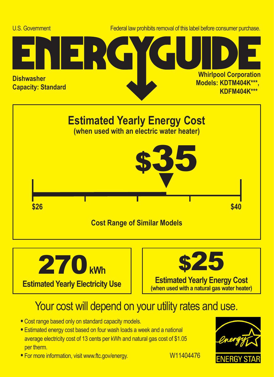





## Your cost will depend on your utility rates and use.

- **•** Cost range based only on standard capacity models.
- **•** Estimated energy cost based on four wash loads a week and a national average electricity cost of 13 cents per kWh and natural gas cost of \$1.05 per therm.
- For more information, visit www.ftc.gov/energy. W11404476